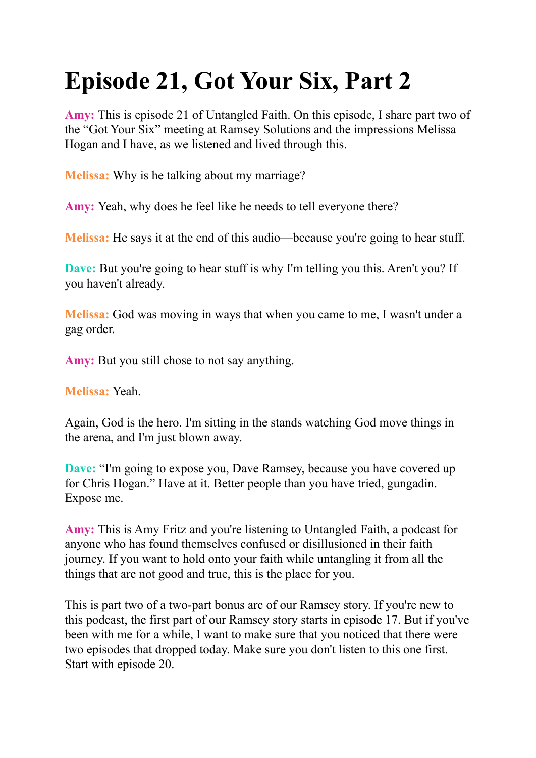# **Episode 21, Got Your Six, Part 2**

**Amy:** This is episode 21 of Untangled Faith. On this episode, I share part two of the "Got Your Six" meeting at Ramsey Solutions and the impressions Melissa Hogan and I have, as we listened and lived through this.

**Melissa:** Why is he talking about my marriage?

**Amy:** Yeah, why does he feel like he needs to tell everyone there?

**Melissa:** He says it at the end of this audio—because you're going to hear stuff.

**Dave:** But you're going to hear stuff is why I'm telling you this. Aren't you? If you haven't already.

**Melissa:** God was moving in ways that when you came to me, I wasn't under a gag order.

**Amy:** But you still chose to not say anything.

**Melissa:** Yeah.

Again, God is the hero. I'm sitting in the stands watching God move things in the arena, and I'm just blown away.

**Dave:** "I'm going to expose you, Dave Ramsey, because you have covered up for Chris Hogan." Have at it. Better people than you have tried, gungadin. Expose me.

**Amy:** This is Amy Fritz and you're listening to Untangled Faith, a podcast for anyone who has found themselves confused or disillusioned in their faith journey. If you want to hold onto your faith while untangling it from all the things that are not good and true, this is the place for you.

This is part two of a two-part bonus arc of our Ramsey story. If you're new to this podcast, the first part of our Ramsey story starts in episode 17. But if you've been with me for a while, I want to make sure that you noticed that there were two episodes that dropped today. Make sure you don't listen to this one first. Start with episode 20.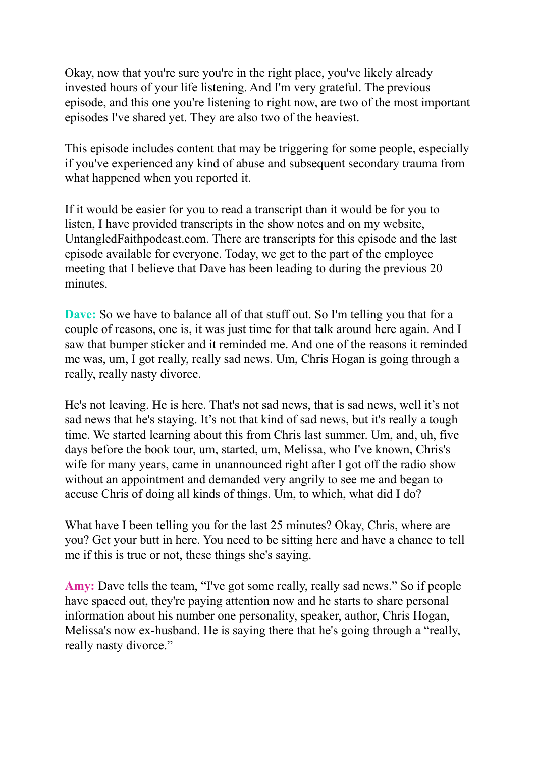Okay, now that you're sure you're in the right place, you've likely already invested hours of your life listening. And I'm very grateful. The previous episode, and this one you're listening to right now, are two of the most important episodes I've shared yet. They are also two of the heaviest.

This episode includes content that may be triggering for some people, especially if you've experienced any kind of abuse and subsequent secondary trauma from what happened when you reported it.

If it would be easier for you to read a transcript than it would be for you to listen, I have provided transcripts in the show notes and on my website, UntangledFaithpodcast.com. There are transcripts for this episode and the last episode available for everyone. Today, we get to the part of the employee meeting that I believe that Dave has been leading to during the previous 20 minutes.

**Dave:** So we have to balance all of that stuff out. So I'm telling you that for a couple of reasons, one is, it was just time for that talk around here again. And I saw that bumper sticker and it reminded me. And one of the reasons it reminded me was, um, I got really, really sad news. Um, Chris Hogan is going through a really, really nasty divorce.

He's not leaving. He is here. That's not sad news, that is sad news, well it's not sad news that he's staying. It's not that kind of sad news, but it's really a tough time. We started learning about this from Chris last summer. Um, and, uh, five days before the book tour, um, started, um, Melissa, who I've known, Chris's wife for many years, came in unannounced right after I got off the radio show without an appointment and demanded very angrily to see me and began to accuse Chris of doing all kinds of things. Um, to which, what did I do?

What have I been telling you for the last 25 minutes? Okay, Chris, where are you? Get your butt in here. You need to be sitting here and have a chance to tell me if this is true or not, these things she's saying.

**Amy:** Dave tells the team, "I've got some really, really sad news." So if people have spaced out, they're paying attention now and he starts to share personal information about his number one personality, speaker, author, Chris Hogan, Melissa's now ex-husband. He is saying there that he's going through a "really, really nasty divorce."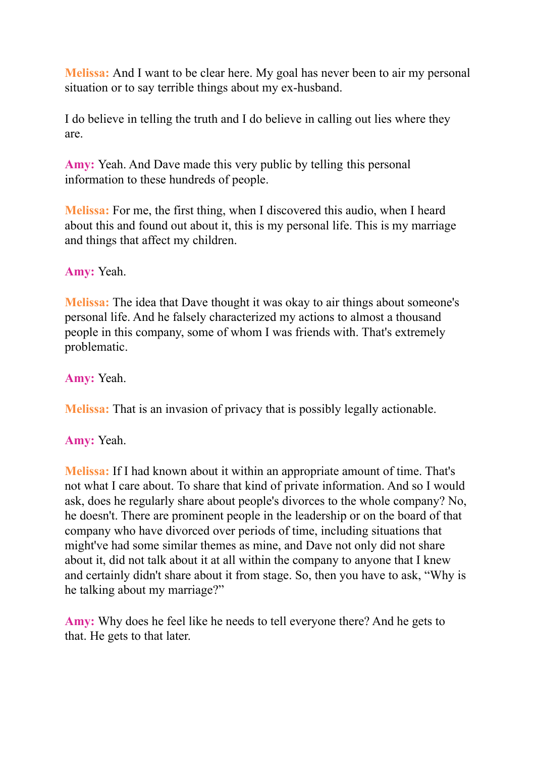**Melissa:** And I want to be clear here. My goal has never been to air my personal situation or to say terrible things about my ex-husband.

I do believe in telling the truth and I do believe in calling out lies where they are.

**Amy:** Yeah. And Dave made this very public by telling this personal information to these hundreds of people.

**Melissa:** For me, the first thing, when I discovered this audio, when I heard about this and found out about it, this is my personal life. This is my marriage and things that affect my children.

## **Amy:** Yeah.

**Melissa:** The idea that Dave thought it was okay to air things about someone's personal life. And he falsely characterized my actions to almost a thousand people in this company, some of whom I was friends with. That's extremely problematic.

## **Amy:** Yeah.

**Melissa:** That is an invasion of privacy that is possibly legally actionable.

## **Amy:** Yeah.

**Melissa:** If I had known about it within an appropriate amount of time. That's not what I care about. To share that kind of private information. And so I would ask, does he regularly share about people's divorces to the whole company? No, he doesn't. There are prominent people in the leadership or on the board of that company who have divorced over periods of time, including situations that might've had some similar themes as mine, and Dave not only did not share about it, did not talk about it at all within the company to anyone that I knew and certainly didn't share about it from stage. So, then you have to ask, "Why is he talking about my marriage?"

**Amy:** Why does he feel like he needs to tell everyone there? And he gets to that. He gets to that later.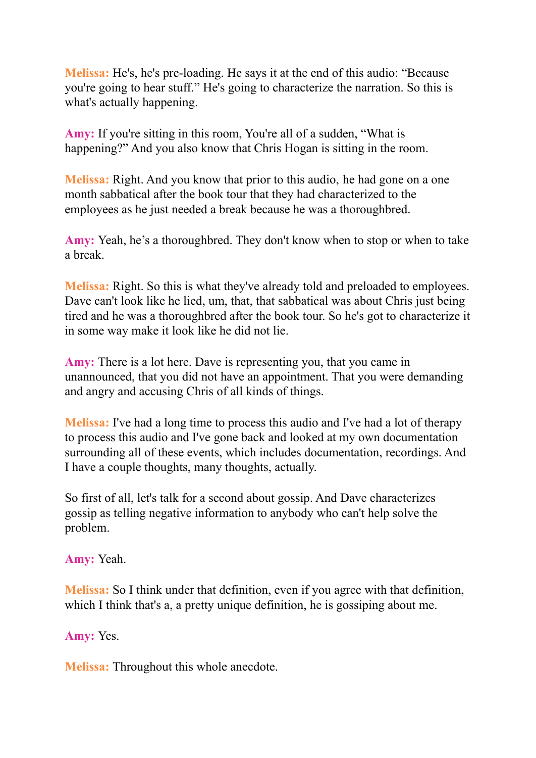**Melissa:** He's, he's pre-loading. He says it at the end of this audio: "Because you're going to hear stuff." He's going to characterize the narration. So this is what's actually happening.

Amy: If you're sitting in this room, You're all of a sudden, "What is happening?" And you also know that Chris Hogan is sitting in the room.

**Melissa:** Right. And you know that prior to this audio, he had gone on a one month sabbatical after the book tour that they had characterized to the employees as he just needed a break because he was a thoroughbred.

**Amy:** Yeah, he's a thoroughbred. They don't know when to stop or when to take a break.

**Melissa:** Right. So this is what they've already told and preloaded to employees. Dave can't look like he lied, um, that, that sabbatical was about Chris just being tired and he was a thoroughbred after the book tour. So he's got to characterize it in some way make it look like he did not lie.

**Amy:** There is a lot here. Dave is representing you, that you came in unannounced, that you did not have an appointment. That you were demanding and angry and accusing Chris of all kinds of things.

**Melissa:** I've had a long time to process this audio and I've had a lot of therapy to process this audio and I've gone back and looked at my own documentation surrounding all of these events, which includes documentation, recordings. And I have a couple thoughts, many thoughts, actually.

So first of all, let's talk for a second about gossip. And Dave characterizes gossip as telling negative information to anybody who can't help solve the problem.

**Amy:** Yeah.

**Melissa:** So I think under that definition, even if you agree with that definition, which I think that's a, a pretty unique definition, he is gossiping about me.

**Amy:** Yes.

**Melissa:** Throughout this whole anecdote.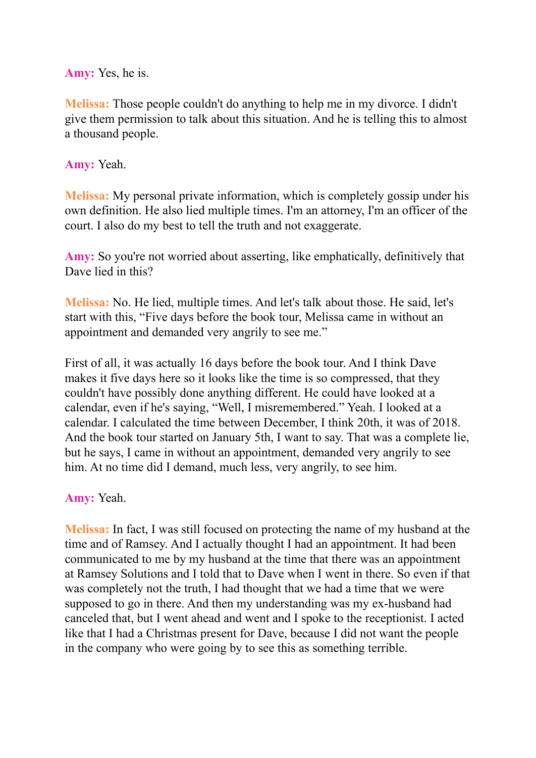**Amy:** Yes, he is.

**Melissa:** Those people couldn't do anything to help me in my divorce. I didn't give them permission to talk about this situation. And he is telling this to almost a thousand people.

**Amy:** Yeah.

**Melissa:** My personal private information, which is completely gossip under his own definition. He also lied multiple times. I'm an attorney, I'm an officer of the court. I also do my best to tell the truth and not exaggerate.

**Amy:** So you're not worried about asserting, like emphatically, definitively that Dave lied in this?

**Melissa:** No. He lied, multiple times. And let's talk about those. He said, let's start with this, "Five days before the book tour, Melissa came in without an appointment and demanded very angrily to see me."

First of all, it was actually 16 days before the book tour. And I think Dave makes it five days here so it looks like the time is so compressed, that they couldn't have possibly done anything different. He could have looked at a calendar, even if he's saying, "Well, I misremembered." Yeah. I looked at a calendar. I calculated the time between December, I think 20th, it was of 2018. And the book tour started on January 5th, I want to say. That was a complete lie, but he says, I came in without an appointment, demanded very angrily to see him. At no time did I demand, much less, very angrily, to see him.

**Amy:** Yeah.

**Melissa:** In fact, I was still focused on protecting the name of my husband at the time and of Ramsey. And I actually thought I had an appointment. It had been communicated to me by my husband at the time that there was an appointment at Ramsey Solutions and I told that to Dave when I went in there. So even if that was completely not the truth, I had thought that we had a time that we were supposed to go in there. And then my understanding was my ex-husband had canceled that, but I went ahead and went and I spoke to the receptionist. I acted like that I had a Christmas present for Dave, because I did not want the people in the company who were going by to see this as something terrible.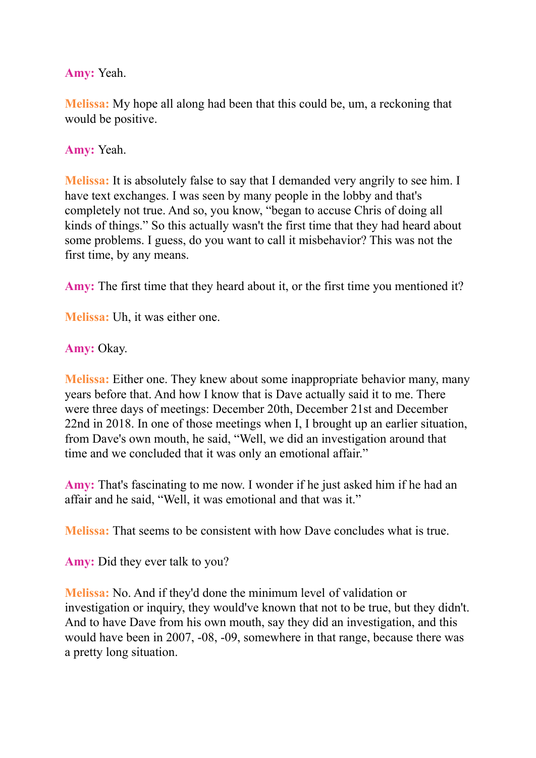**Amy:** Yeah.

**Melissa:** My hope all along had been that this could be, um, a reckoning that would be positive.

**Amy:** Yeah.

**Melissa:** It is absolutely false to say that I demanded very angrily to see him. I have text exchanges. I was seen by many people in the lobby and that's completely not true. And so, you know, "began to accuse Chris of doing all kinds of things." So this actually wasn't the first time that they had heard about some problems. I guess, do you want to call it misbehavior? This was not the first time, by any means.

**Amy:** The first time that they heard about it, or the first time you mentioned it?

**Melissa:** Uh, it was either one.

**Amy:** Okay.

**Melissa:** Either one. They knew about some inappropriate behavior many, many years before that. And how I know that is Dave actually said it to me. There were three days of meetings: December 20th, December 21st and December 22nd in 2018. In one of those meetings when I, I brought up an earlier situation, from Dave's own mouth, he said, "Well, we did an investigation around that time and we concluded that it was only an emotional affair."

**Amy:** That's fascinating to me now. I wonder if he just asked him if he had an affair and he said, "Well, it was emotional and that was it."

**Melissa:** That seems to be consistent with how Dave concludes what is true.

**Amy:** Did they ever talk to you?

**Melissa:** No. And if they'd done the minimum level of validation or investigation or inquiry, they would've known that not to be true, but they didn't. And to have Dave from his own mouth, say they did an investigation, and this would have been in 2007, -08, -09, somewhere in that range, because there was a pretty long situation.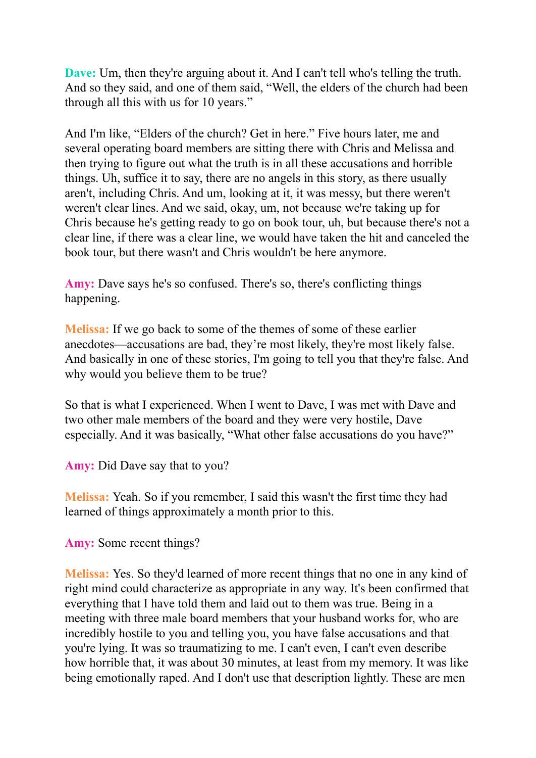**Dave:** Um, then they're arguing about it. And I can't tell who's telling the truth. And so they said, and one of them said, "Well, the elders of the church had been through all this with us for 10 years."

And I'm like, "Elders of the church? Get in here." Five hours later, me and several operating board members are sitting there with Chris and Melissa and then trying to figure out what the truth is in all these accusations and horrible things. Uh, suffice it to say, there are no angels in this story, as there usually aren't, including Chris. And um, looking at it, it was messy, but there weren't weren't clear lines. And we said, okay, um, not because we're taking up for Chris because he's getting ready to go on book tour, uh, but because there's not a clear line, if there was a clear line, we would have taken the hit and canceled the book tour, but there wasn't and Chris wouldn't be here anymore.

**Amy:** Dave says he's so confused. There's so, there's conflicting things happening.

**Melissa:** If we go back to some of the themes of some of these earlier anecdotes—accusations are bad, they're most likely, they're most likely false. And basically in one of these stories, I'm going to tell you that they're false. And why would you believe them to be true?

So that is what I experienced. When I went to Dave, I was met with Dave and two other male members of the board and they were very hostile, Dave especially. And it was basically, "What other false accusations do you have?"

**Amy:** Did Dave say that to you?

**Melissa:** Yeah. So if you remember, I said this wasn't the first time they had learned of things approximately a month prior to this.

**Amy:** Some recent things?

**Melissa:** Yes. So they'd learned of more recent things that no one in any kind of right mind could characterize as appropriate in any way. It's been confirmed that everything that I have told them and laid out to them was true. Being in a meeting with three male board members that your husband works for, who are incredibly hostile to you and telling you, you have false accusations and that you're lying. It was so traumatizing to me. I can't even, I can't even describe how horrible that, it was about 30 minutes, at least from my memory. It was like being emotionally raped. And I don't use that description lightly. These are men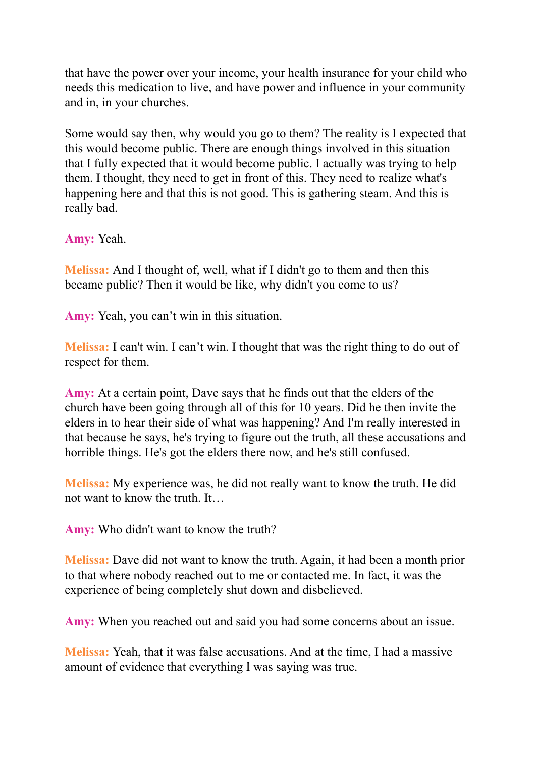that have the power over your income, your health insurance for your child who needs this medication to live, and have power and influence in your community and in, in your churches.

Some would say then, why would you go to them? The reality is I expected that this would become public. There are enough things involved in this situation that I fully expected that it would become public. I actually was trying to help them. I thought, they need to get in front of this. They need to realize what's happening here and that this is not good. This is gathering steam. And this is really bad.

**Amy:** Yeah.

**Melissa:** And I thought of, well, what if I didn't go to them and then this became public? Then it would be like, why didn't you come to us?

**Amy:** Yeah, you can't win in this situation.

**Melissa:** I can't win. I can't win. I thought that was the right thing to do out of respect for them.

**Amy:** At a certain point, Dave says that he finds out that the elders of the church have been going through all of this for 10 years. Did he then invite the elders in to hear their side of what was happening? And I'm really interested in that because he says, he's trying to figure out the truth, all these accusations and horrible things. He's got the elders there now, and he's still confused.

**Melissa:** My experience was, he did not really want to know the truth. He did not want to know the truth. It

**Amy:** Who didn't want to know the truth?

**Melissa:** Dave did not want to know the truth. Again, it had been a month prior to that where nobody reached out to me or contacted me. In fact, it was the experience of being completely shut down and disbelieved.

**Amy:** When you reached out and said you had some concerns about an issue.

**Melissa:** Yeah, that it was false accusations. And at the time, I had a massive amount of evidence that everything I was saying was true.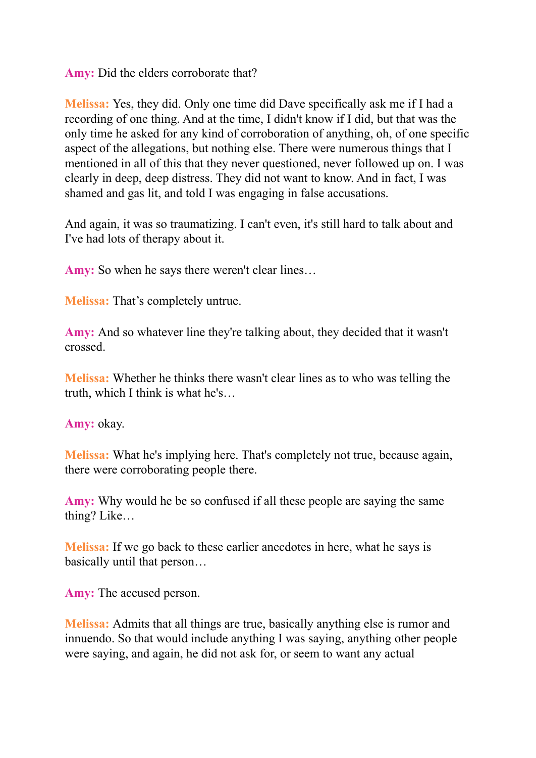**Amy:** Did the elders corroborate that?

**Melissa:** Yes, they did. Only one time did Dave specifically ask me if I had a recording of one thing. And at the time, I didn't know if I did, but that was the only time he asked for any kind of corroboration of anything, oh, of one specific aspect of the allegations, but nothing else. There were numerous things that I mentioned in all of this that they never questioned, never followed up on. I was clearly in deep, deep distress. They did not want to know. And in fact, I was shamed and gas lit, and told I was engaging in false accusations.

And again, it was so traumatizing. I can't even, it's still hard to talk about and I've had lots of therapy about it.

Amy: So when he says there weren't clear lines...

**Melissa:** That's completely untrue.

**Amy:** And so whatever line they're talking about, they decided that it wasn't crossed.

**Melissa:** Whether he thinks there wasn't clear lines as to who was telling the truth, which I think is what he's…

**Amy:** okay.

**Melissa:** What he's implying here. That's completely not true, because again, there were corroborating people there.

**Amy:** Why would he be so confused if all these people are saying the same thing? Like…

**Melissa:** If we go back to these earlier anecdotes in here, what he says is basically until that person…

**Amy:** The accused person.

**Melissa:** Admits that all things are true, basically anything else is rumor and innuendo. So that would include anything I was saying, anything other people were saying, and again, he did not ask for, or seem to want any actual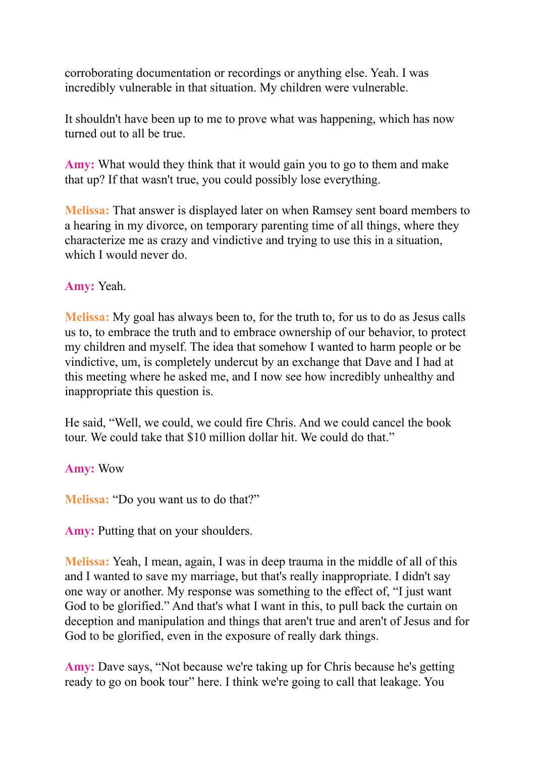corroborating documentation or recordings or anything else. Yeah. I was incredibly vulnerable in that situation. My children were vulnerable.

It shouldn't have been up to me to prove what was happening, which has now turned out to all be true.

**Amy:** What would they think that it would gain you to go to them and make that up? If that wasn't true, you could possibly lose everything.

**Melissa:** That answer is displayed later on when Ramsey sent board members to a hearing in my divorce, on temporary parenting time of all things, where they characterize me as crazy and vindictive and trying to use this in a situation, which I would never do.

#### **Amy:** Yeah.

**Melissa:** My goal has always been to, for the truth to, for us to do as Jesus calls us to, to embrace the truth and to embrace ownership of our behavior, to protect my children and myself. The idea that somehow I wanted to harm people or be vindictive, um, is completely undercut by an exchange that Dave and I had at this meeting where he asked me, and I now see how incredibly unhealthy and inappropriate this question is.

He said, "Well, we could, we could fire Chris. And we could cancel the book tour. We could take that \$10 million dollar hit. We could do that."

**Amy:** Wow

**Melissa:** "Do you want us to do that?"

**Amy:** Putting that on your shoulders.

**Melissa:** Yeah, I mean, again, I was in deep trauma in the middle of all of this and I wanted to save my marriage, but that's really inappropriate. I didn't say one way or another. My response was something to the effect of, "I just want God to be glorified." And that's what I want in this, to pull back the curtain on deception and manipulation and things that aren't true and aren't of Jesus and for God to be glorified, even in the exposure of really dark things.

**Amy:** Dave says, "Not because we're taking up for Chris because he's getting ready to go on book tour" here. I think we're going to call that leakage. You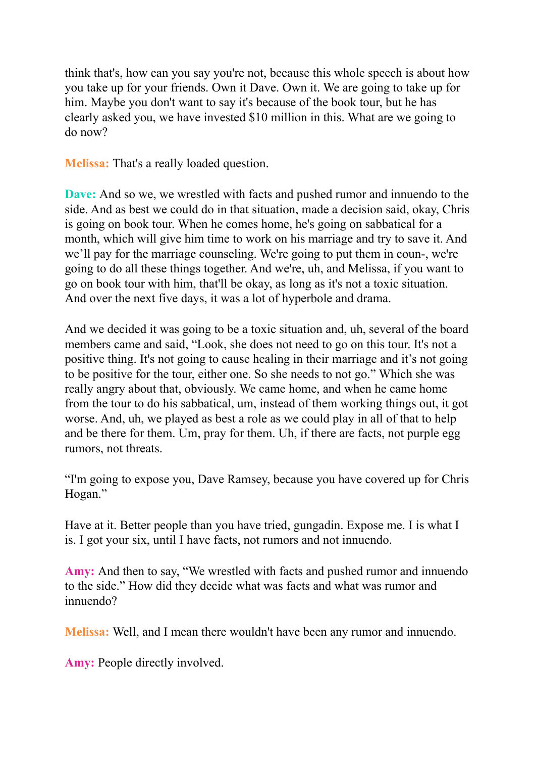think that's, how can you say you're not, because this whole speech is about how you take up for your friends. Own it Dave. Own it. We are going to take up for him. Maybe you don't want to say it's because of the book tour, but he has clearly asked you, we have invested \$10 million in this. What are we going to do now?

**Melissa:** That's a really loaded question.

**Dave:** And so we, we wrestled with facts and pushed rumor and innuendo to the side. And as best we could do in that situation, made a decision said, okay, Chris is going on book tour. When he comes home, he's going on sabbatical for a month, which will give him time to work on his marriage and try to save it. And we'll pay for the marriage counseling. We're going to put them in coun-, we're going to do all these things together. And we're, uh, and Melissa, if you want to go on book tour with him, that'll be okay, as long as it's not a toxic situation. And over the next five days, it was a lot of hyperbole and drama.

And we decided it was going to be a toxic situation and, uh, several of the board members came and said, "Look, she does not need to go on this tour. It's not a positive thing. It's not going to cause healing in their marriage and it's not going to be positive for the tour, either one. So she needs to not go." Which she was really angry about that, obviously. We came home, and when he came home from the tour to do his sabbatical, um, instead of them working things out, it got worse. And, uh, we played as best a role as we could play in all of that to help and be there for them. Um, pray for them. Uh, if there are facts, not purple egg rumors, not threats.

"I'm going to expose you, Dave Ramsey, because you have covered up for Chris Hogan."

Have at it. Better people than you have tried, gungadin. Expose me. I is what I is. I got your six, until I have facts, not rumors and not innuendo.

**Amy:** And then to say, "We wrestled with facts and pushed rumor and innuendo to the side." How did they decide what was facts and what was rumor and innuendo?

**Melissa:** Well, and I mean there wouldn't have been any rumor and innuendo.

**Amy:** People directly involved.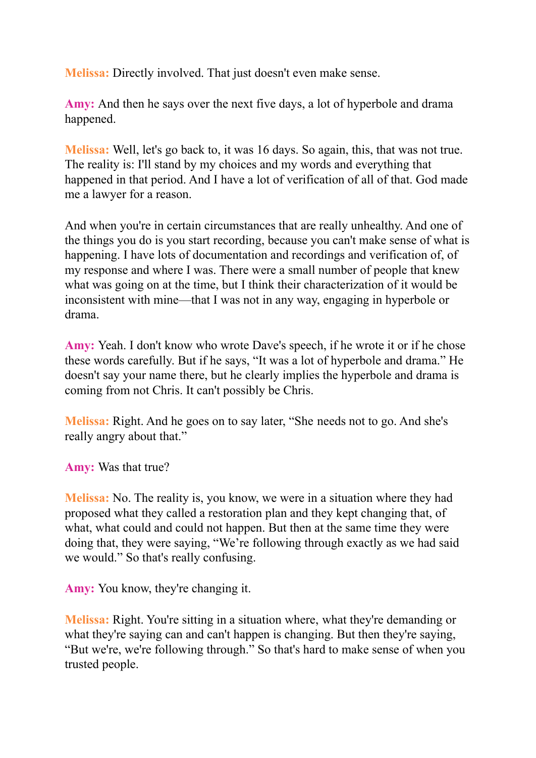**Melissa:** Directly involved. That just doesn't even make sense.

**Amy:** And then he says over the next five days, a lot of hyperbole and drama happened.

**Melissa:** Well, let's go back to, it was 16 days. So again, this, that was not true. The reality is: I'll stand by my choices and my words and everything that happened in that period. And I have a lot of verification of all of that. God made me a lawyer for a reason.

And when you're in certain circumstances that are really unhealthy. And one of the things you do is you start recording, because you can't make sense of what is happening. I have lots of documentation and recordings and verification of, of my response and where I was. There were a small number of people that knew what was going on at the time, but I think their characterization of it would be inconsistent with mine—that I was not in any way, engaging in hyperbole or drama.

**Amy:** Yeah. I don't know who wrote Dave's speech, if he wrote it or if he chose these words carefully. But if he says, "It was a lot of hyperbole and drama." He doesn't say your name there, but he clearly implies the hyperbole and drama is coming from not Chris. It can't possibly be Chris.

**Melissa:** Right. And he goes on to say later, "She needs not to go. And she's really angry about that."

**Amy:** Was that true?

**Melissa:** No. The reality is, you know, we were in a situation where they had proposed what they called a restoration plan and they kept changing that, of what, what could and could not happen. But then at the same time they were doing that, they were saying, "We're following through exactly as we had said we would." So that's really confusing.

**Amy:** You know, they're changing it.

**Melissa:** Right. You're sitting in a situation where, what they're demanding or what they're saying can and can't happen is changing. But then they're saying, "But we're, we're following through." So that's hard to make sense of when you trusted people.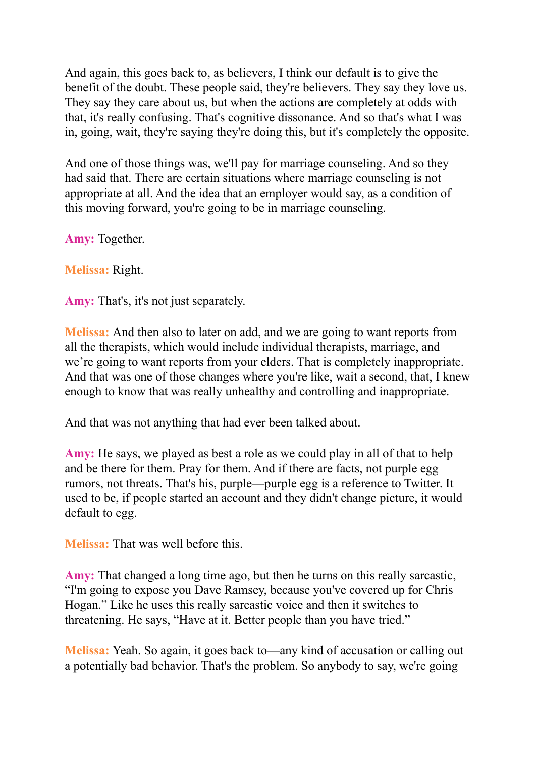And again, this goes back to, as believers, I think our default is to give the benefit of the doubt. These people said, they're believers. They say they love us. They say they care about us, but when the actions are completely at odds with that, it's really confusing. That's cognitive dissonance. And so that's what I was in, going, wait, they're saying they're doing this, but it's completely the opposite.

And one of those things was, we'll pay for marriage counseling. And so they had said that. There are certain situations where marriage counseling is not appropriate at all. And the idea that an employer would say, as a condition of this moving forward, you're going to be in marriage counseling.

**Amy:** Together.

**Melissa:** Right.

**Amy:** That's, it's not just separately.

**Melissa:** And then also to later on add, and we are going to want reports from all the therapists, which would include individual therapists, marriage, and we're going to want reports from your elders. That is completely inappropriate. And that was one of those changes where you're like, wait a second, that, I knew enough to know that was really unhealthy and controlling and inappropriate.

And that was not anything that had ever been talked about.

**Amy:** He says, we played as best a role as we could play in all of that to help and be there for them. Pray for them. And if there are facts, not purple egg rumors, not threats. That's his, purple—purple egg is a reference to Twitter. It used to be, if people started an account and they didn't change picture, it would default to egg.

**Melissa:** That was well before this.

**Amy:** That changed a long time ago, but then he turns on this really sarcastic, "I'm going to expose you Dave Ramsey, because you've covered up for Chris Hogan." Like he uses this really sarcastic voice and then it switches to threatening. He says, "Have at it. Better people than you have tried."

**Melissa:** Yeah. So again, it goes back to—any kind of accusation or calling out a potentially bad behavior. That's the problem. So anybody to say, we're going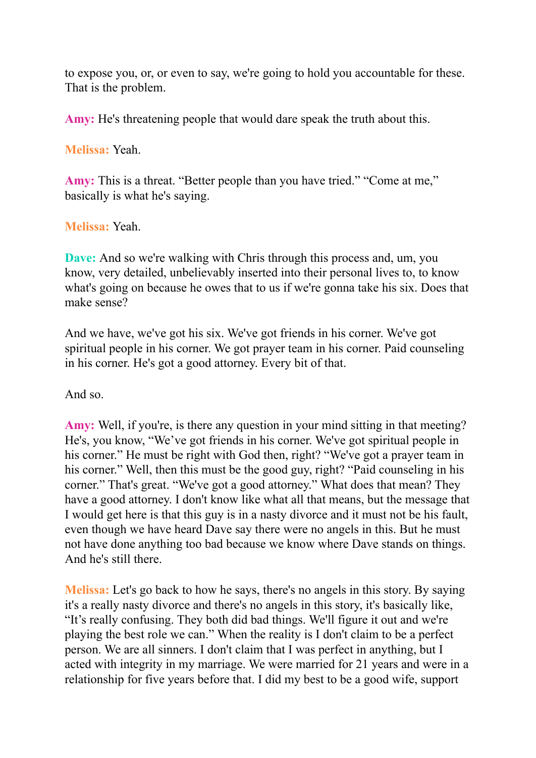to expose you, or, or even to say, we're going to hold you accountable for these. That is the problem.

**Amy:** He's threatening people that would dare speak the truth about this.

**Melissa:** Yeah.

**Amy:** This is a threat. "Better people than you have tried." "Come at me," basically is what he's saying.

**Melissa:** Yeah.

**Dave:** And so we're walking with Chris through this process and, um, you know, very detailed, unbelievably inserted into their personal lives to, to know what's going on because he owes that to us if we're gonna take his six. Does that make sense?

And we have, we've got his six. We've got friends in his corner. We've got spiritual people in his corner. We got prayer team in his corner. Paid counseling in his corner. He's got a good attorney. Every bit of that.

And so.

Amy: Well, if you're, is there any question in your mind sitting in that meeting? He's, you know, "We've got friends in his corner. We've got spiritual people in his corner." He must be right with God then, right? "We've got a prayer team in his corner." Well, then this must be the good guy, right? "Paid counseling in his corner." That's great. "We've got a good attorney." What does that mean? They have a good attorney. I don't know like what all that means, but the message that I would get here is that this guy is in a nasty divorce and it must not be his fault, even though we have heard Dave say there were no angels in this. But he must not have done anything too bad because we know where Dave stands on things. And he's still there.

**Melissa:** Let's go back to how he says, there's no angels in this story. By saying it's a really nasty divorce and there's no angels in this story, it's basically like, "It's really confusing. They both did bad things. We'll figure it out and we're playing the best role we can." When the reality is I don't claim to be a perfect person. We are all sinners. I don't claim that I was perfect in anything, but I acted with integrity in my marriage. We were married for 21 years and were in a relationship for five years before that. I did my best to be a good wife, support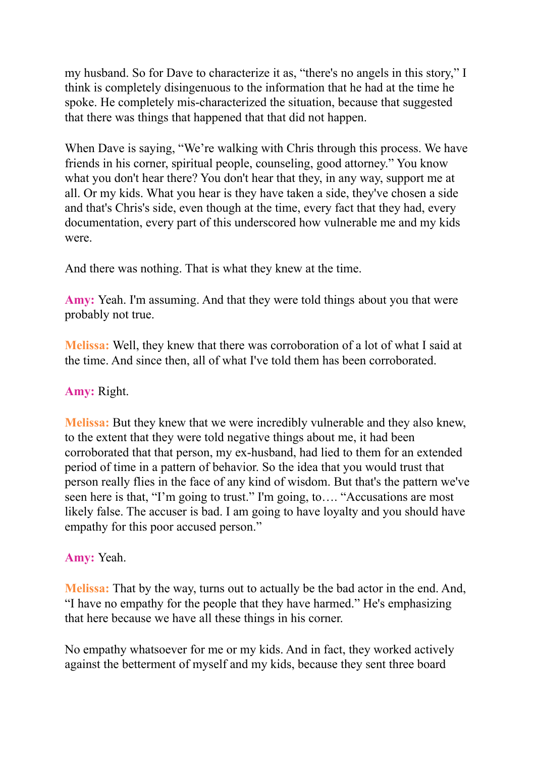my husband. So for Dave to characterize it as, "there's no angels in this story," I think is completely disingenuous to the information that he had at the time he spoke. He completely mis-characterized the situation, because that suggested that there was things that happened that that did not happen.

When Dave is saying, "We're walking with Chris through this process. We have friends in his corner, spiritual people, counseling, good attorney." You know what you don't hear there? You don't hear that they, in any way, support me at all. Or my kids. What you hear is they have taken a side, they've chosen a side and that's Chris's side, even though at the time, every fact that they had, every documentation, every part of this underscored how vulnerable me and my kids were.

And there was nothing. That is what they knew at the time.

**Amy:** Yeah. I'm assuming. And that they were told things about you that were probably not true.

**Melissa:** Well, they knew that there was corroboration of a lot of what I said at the time. And since then, all of what I've told them has been corroborated.

#### **Amy:** Right.

**Melissa:** But they knew that we were incredibly vulnerable and they also knew, to the extent that they were told negative things about me, it had been corroborated that that person, my ex-husband, had lied to them for an extended period of time in a pattern of behavior. So the idea that you would trust that person really flies in the face of any kind of wisdom. But that's the pattern we've seen here is that, "I'm going to trust." I'm going, to…. "Accusations are most likely false. The accuser is bad. I am going to have loyalty and you should have empathy for this poor accused person."

## **Amy:** Yeah.

**Melissa:** That by the way, turns out to actually be the bad actor in the end. And, "I have no empathy for the people that they have harmed." He's emphasizing that here because we have all these things in his corner.

No empathy whatsoever for me or my kids. And in fact, they worked actively against the betterment of myself and my kids, because they sent three board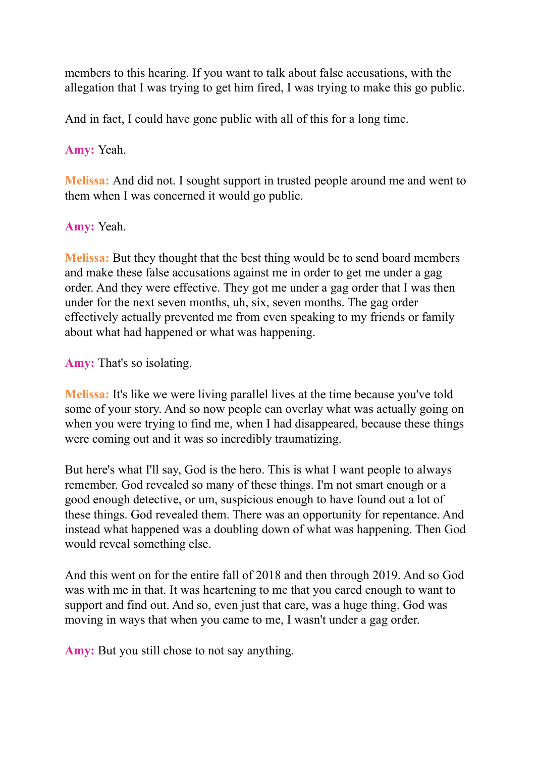members to this hearing. If you want to talk about false accusations, with the allegation that I was trying to get him fired, I was trying to make this go public.

And in fact, I could have gone public with all of this for a long time.

**Amy:** Yeah.

**Melissa:** And did not. I sought support in trusted people around me and went to them when I was concerned it would go public.

**Amy:** Yeah.

**Melissa:** But they thought that the best thing would be to send board members and make these false accusations against me in order to get me under a gag order. And they were effective. They got me under a gag order that I was then under for the next seven months, uh, six, seven months. The gag order effectively actually prevented me from even speaking to my friends or family about what had happened or what was happening.

**Amy:** That's so isolating.

**Melissa:** It's like we were living parallel lives at the time because you've told some of your story. And so now people can overlay what was actually going on when you were trying to find me, when I had disappeared, because these things were coming out and it was so incredibly traumatizing.

But here's what I'll say, God is the hero. This is what I want people to always remember. God revealed so many of these things. I'm not smart enough or a good enough detective, or um, suspicious enough to have found out a lot of these things. God revealed them. There was an opportunity for repentance. And instead what happened was a doubling down of what was happening. Then God would reveal something else.

And this went on for the entire fall of 2018 and then through 2019. And so God was with me in that. It was heartening to me that you cared enough to want to support and find out. And so, even just that care, was a huge thing. God was moving in ways that when you came to me, I wasn't under a gag order.

**Amy:** But you still chose to not say anything.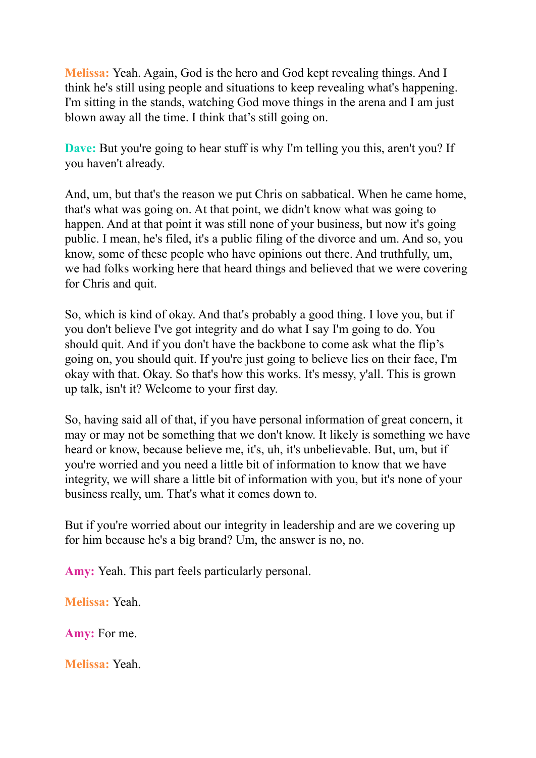**Melissa:** Yeah. Again, God is the hero and God kept revealing things. And I think he's still using people and situations to keep revealing what's happening. I'm sitting in the stands, watching God move things in the arena and I am just blown away all the time. I think that's still going on.

**Dave:** But you're going to hear stuff is why I'm telling you this, aren't you? If you haven't already.

And, um, but that's the reason we put Chris on sabbatical. When he came home, that's what was going on. At that point, we didn't know what was going to happen. And at that point it was still none of your business, but now it's going public. I mean, he's filed, it's a public filing of the divorce and um. And so, you know, some of these people who have opinions out there. And truthfully, um, we had folks working here that heard things and believed that we were covering for Chris and quit.

So, which is kind of okay. And that's probably a good thing. I love you, but if you don't believe I've got integrity and do what I say I'm going to do. You should quit. And if you don't have the backbone to come ask what the flip's going on, you should quit. If you're just going to believe lies on their face, I'm okay with that. Okay. So that's how this works. It's messy, y'all. This is grown up talk, isn't it? Welcome to your first day.

So, having said all of that, if you have personal information of great concern, it may or may not be something that we don't know. It likely is something we have heard or know, because believe me, it's, uh, it's unbelievable. But, um, but if you're worried and you need a little bit of information to know that we have integrity, we will share a little bit of information with you, but it's none of your business really, um. That's what it comes down to.

But if you're worried about our integrity in leadership and are we covering up for him because he's a big brand? Um, the answer is no, no.

**Amy:** Yeah. This part feels particularly personal.

**Melissa:** Yeah.

**Amy:** For me.

**Melissa:** Yeah.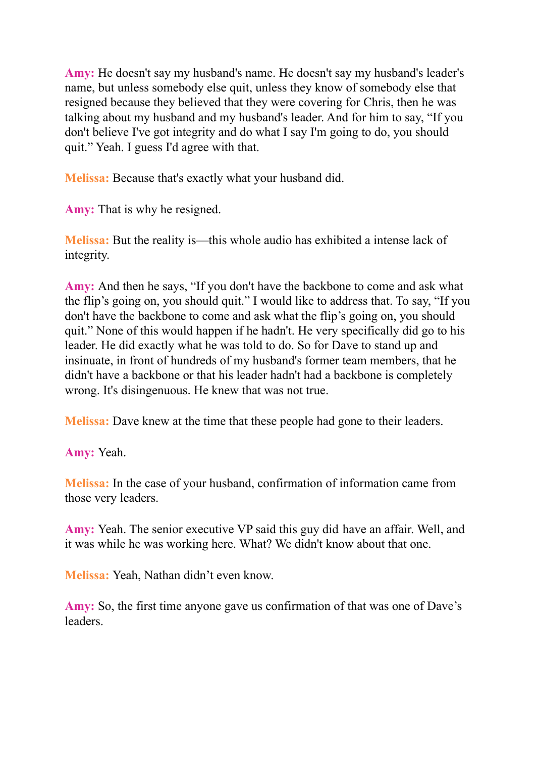**Amy:** He doesn't say my husband's name. He doesn't say my husband's leader's name, but unless somebody else quit, unless they know of somebody else that resigned because they believed that they were covering for Chris, then he was talking about my husband and my husband's leader. And for him to say, "If you don't believe I've got integrity and do what I say I'm going to do, you should quit." Yeah. I guess I'd agree with that.

**Melissa:** Because that's exactly what your husband did.

**Amy:** That is why he resigned.

**Melissa:** But the reality is—this whole audio has exhibited a intense lack of integrity.

**Amy:** And then he says, "If you don't have the backbone to come and ask what the flip's going on, you should quit." I would like to address that. To say, "If you don't have the backbone to come and ask what the flip's going on, you should quit." None of this would happen if he hadn't. He very specifically did go to his leader. He did exactly what he was told to do. So for Dave to stand up and insinuate, in front of hundreds of my husband's former team members, that he didn't have a backbone or that his leader hadn't had a backbone is completely wrong. It's disingenuous. He knew that was not true.

**Melissa:** Dave knew at the time that these people had gone to their leaders.

**Amy:** Yeah.

**Melissa:** In the case of your husband, confirmation of information came from those very leaders.

**Amy:** Yeah. The senior executive VP said this guy did have an affair. Well, and it was while he was working here. What? We didn't know about that one.

**Melissa:** Yeah, Nathan didn't even know.

**Amy:** So, the first time anyone gave us confirmation of that was one of Dave's **leaders**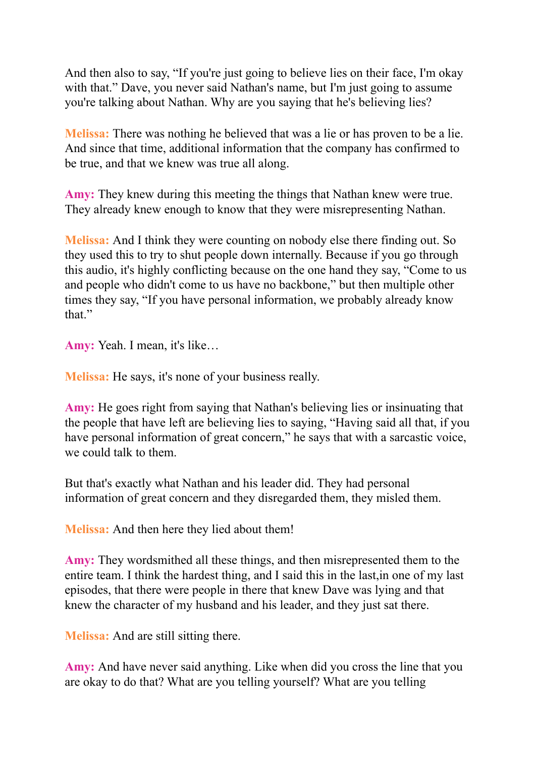And then also to say, "If you're just going to believe lies on their face, I'm okay with that." Dave, you never said Nathan's name, but I'm just going to assume you're talking about Nathan. Why are you saying that he's believing lies?

**Melissa:** There was nothing he believed that was a lie or has proven to be a lie. And since that time, additional information that the company has confirmed to be true, and that we knew was true all along.

**Amy:** They knew during this meeting the things that Nathan knew were true. They already knew enough to know that they were misrepresenting Nathan.

**Melissa:** And I think they were counting on nobody else there finding out. So they used this to try to shut people down internally. Because if you go through this audio, it's highly conflicting because on the one hand they say, "Come to us and people who didn't come to us have no backbone," but then multiple other times they say, "If you have personal information, we probably already know that."

**Amy:** Yeah. I mean, it's like…

**Melissa:** He says, it's none of your business really.

**Amy:** He goes right from saying that Nathan's believing lies or insinuating that the people that have left are believing lies to saying, "Having said all that, if you have personal information of great concern," he says that with a sarcastic voice, we could talk to them.

But that's exactly what Nathan and his leader did. They had personal information of great concern and they disregarded them, they misled them.

**Melissa:** And then here they lied about them!

**Amy:** They wordsmithed all these things, and then misrepresented them to the entire team. I think the hardest thing, and I said this in the last,in one of my last episodes, that there were people in there that knew Dave was lying and that knew the character of my husband and his leader, and they just sat there.

**Melissa:** And are still sitting there.

**Amy:** And have never said anything. Like when did you cross the line that you are okay to do that? What are you telling yourself? What are you telling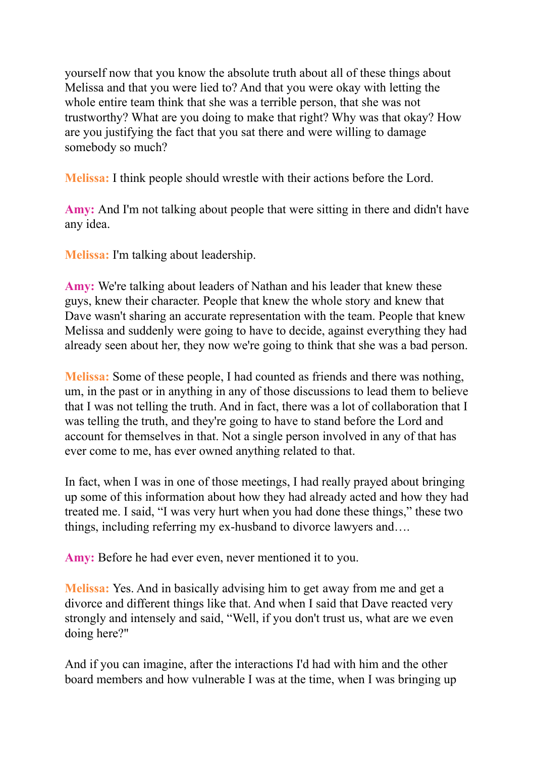yourself now that you know the absolute truth about all of these things about Melissa and that you were lied to? And that you were okay with letting the whole entire team think that she was a terrible person, that she was not trustworthy? What are you doing to make that right? Why was that okay? How are you justifying the fact that you sat there and were willing to damage somebody so much?

**Melissa:** I think people should wrestle with their actions before the Lord.

**Amy:** And I'm not talking about people that were sitting in there and didn't have any idea.

**Melissa:** I'm talking about leadership.

**Amy:** We're talking about leaders of Nathan and his leader that knew these guys, knew their character. People that knew the whole story and knew that Dave wasn't sharing an accurate representation with the team. People that knew Melissa and suddenly were going to have to decide, against everything they had already seen about her, they now we're going to think that she was a bad person.

**Melissa:** Some of these people, I had counted as friends and there was nothing, um, in the past or in anything in any of those discussions to lead them to believe that I was not telling the truth. And in fact, there was a lot of collaboration that I was telling the truth, and they're going to have to stand before the Lord and account for themselves in that. Not a single person involved in any of that has ever come to me, has ever owned anything related to that.

In fact, when I was in one of those meetings, I had really prayed about bringing up some of this information about how they had already acted and how they had treated me. I said, "I was very hurt when you had done these things," these two things, including referring my ex-husband to divorce lawyers and….

**Amy:** Before he had ever even, never mentioned it to you.

**Melissa:** Yes. And in basically advising him to get away from me and get a divorce and different things like that. And when I said that Dave reacted very strongly and intensely and said, "Well, if you don't trust us, what are we even doing here?"

And if you can imagine, after the interactions I'd had with him and the other board members and how vulnerable I was at the time, when I was bringing up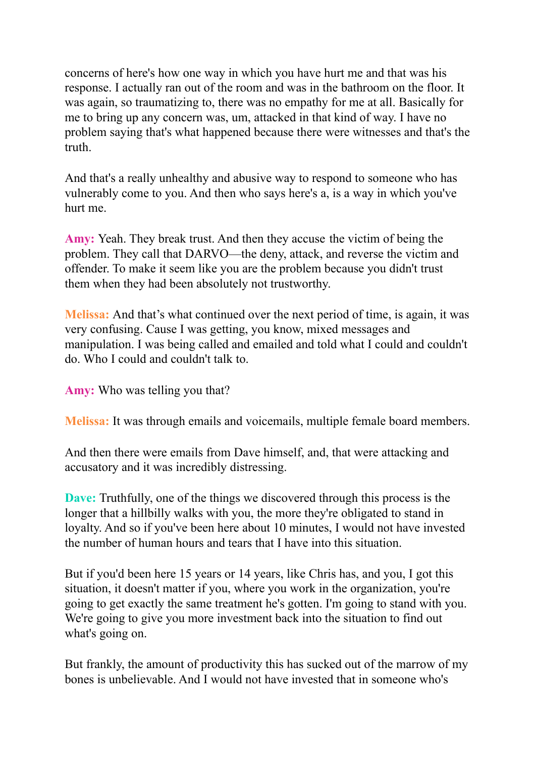concerns of here's how one way in which you have hurt me and that was his response. I actually ran out of the room and was in the bathroom on the floor. It was again, so traumatizing to, there was no empathy for me at all. Basically for me to bring up any concern was, um, attacked in that kind of way. I have no problem saying that's what happened because there were witnesses and that's the truth.

And that's a really unhealthy and abusive way to respond to someone who has vulnerably come to you. And then who says here's a, is a way in which you've hurt me.

**Amy:** Yeah. They break trust. And then they accuse the victim of being the problem. They call that DARVO—the deny, attack, and reverse the victim and offender. To make it seem like you are the problem because you didn't trust them when they had been absolutely not trustworthy.

**Melissa:** And that's what continued over the next period of time, is again, it was very confusing. Cause I was getting, you know, mixed messages and manipulation. I was being called and emailed and told what I could and couldn't do. Who I could and couldn't talk to.

**Amy:** Who was telling you that?

**Melissa:** It was through emails and voicemails, multiple female board members.

And then there were emails from Dave himself, and, that were attacking and accusatory and it was incredibly distressing.

**Dave:** Truthfully, one of the things we discovered through this process is the longer that a hillbilly walks with you, the more they're obligated to stand in loyalty. And so if you've been here about 10 minutes, I would not have invested the number of human hours and tears that I have into this situation.

But if you'd been here 15 years or 14 years, like Chris has, and you, I got this situation, it doesn't matter if you, where you work in the organization, you're going to get exactly the same treatment he's gotten. I'm going to stand with you. We're going to give you more investment back into the situation to find out what's going on.

But frankly, the amount of productivity this has sucked out of the marrow of my bones is unbelievable. And I would not have invested that in someone who's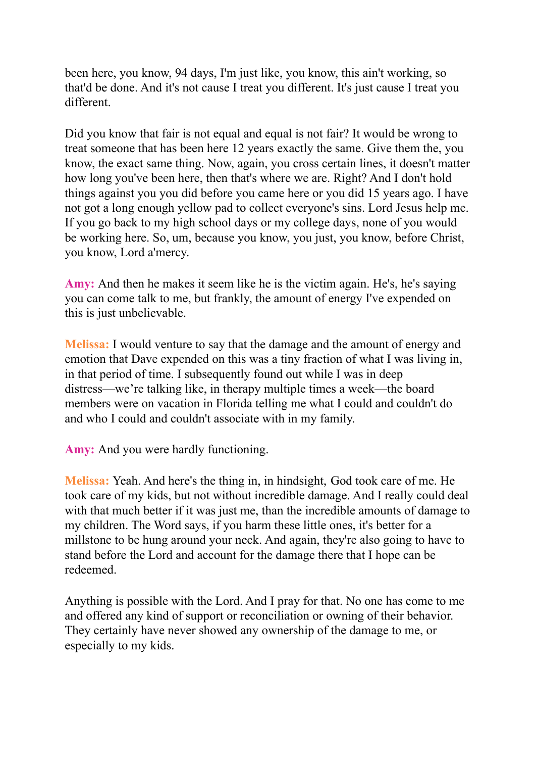been here, you know, 94 days, I'm just like, you know, this ain't working, so that'd be done. And it's not cause I treat you different. It's just cause I treat you different.

Did you know that fair is not equal and equal is not fair? It would be wrong to treat someone that has been here 12 years exactly the same. Give them the, you know, the exact same thing. Now, again, you cross certain lines, it doesn't matter how long you've been here, then that's where we are. Right? And I don't hold things against you you did before you came here or you did 15 years ago. I have not got a long enough yellow pad to collect everyone's sins. Lord Jesus help me. If you go back to my high school days or my college days, none of you would be working here. So, um, because you know, you just, you know, before Christ, you know, Lord a'mercy.

**Amy:** And then he makes it seem like he is the victim again. He's, he's saying you can come talk to me, but frankly, the amount of energy I've expended on this is just unbelievable.

**Melissa:** I would venture to say that the damage and the amount of energy and emotion that Dave expended on this was a tiny fraction of what I was living in, in that period of time. I subsequently found out while I was in deep distress—we're talking like, in therapy multiple times a week—the board members were on vacation in Florida telling me what I could and couldn't do and who I could and couldn't associate with in my family.

**Amy:** And you were hardly functioning.

**Melissa:** Yeah. And here's the thing in, in hindsight, God took care of me. He took care of my kids, but not without incredible damage. And I really could deal with that much better if it was just me, than the incredible amounts of damage to my children. The Word says, if you harm these little ones, it's better for a millstone to be hung around your neck. And again, they're also going to have to stand before the Lord and account for the damage there that I hope can be redeemed.

Anything is possible with the Lord. And I pray for that. No one has come to me and offered any kind of support or reconciliation or owning of their behavior. They certainly have never showed any ownership of the damage to me, or especially to my kids.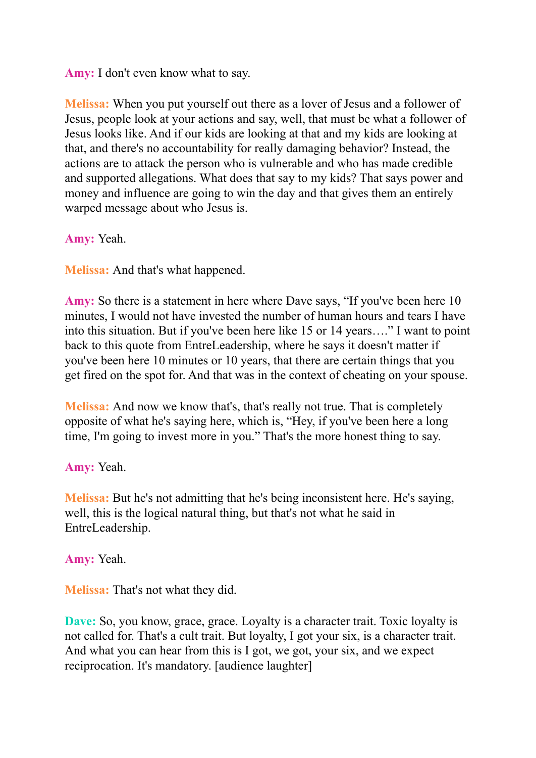**Amy:** I don't even know what to say.

**Melissa:** When you put yourself out there as a lover of Jesus and a follower of Jesus, people look at your actions and say, well, that must be what a follower of Jesus looks like. And if our kids are looking at that and my kids are looking at that, and there's no accountability for really damaging behavior? Instead, the actions are to attack the person who is vulnerable and who has made credible and supported allegations. What does that say to my kids? That says power and money and influence are going to win the day and that gives them an entirely warped message about who Jesus is.

**Amy:** Yeah.

**Melissa:** And that's what happened.

**Amy:** So there is a statement in here where Dave says, "If you've been here 10 minutes, I would not have invested the number of human hours and tears I have into this situation. But if you've been here like 15 or 14 years…." I want to point back to this quote from EntreLeadership, where he says it doesn't matter if you've been here 10 minutes or 10 years, that there are certain things that you get fired on the spot for. And that was in the context of cheating on your spouse.

**Melissa:** And now we know that's, that's really not true. That is completely opposite of what he's saying here, which is, "Hey, if you've been here a long time, I'm going to invest more in you." That's the more honest thing to say.

**Amy:** Yeah.

**Melissa:** But he's not admitting that he's being inconsistent here. He's saying, well, this is the logical natural thing, but that's not what he said in EntreLeadership.

**Amy:** Yeah.

**Melissa:** That's not what they did.

**Dave:** So, you know, grace, grace. Loyalty is a character trait. Toxic loyalty is not called for. That's a cult trait. But loyalty, I got your six, is a character trait. And what you can hear from this is I got, we got, your six, and we expect reciprocation. It's mandatory. [audience laughter]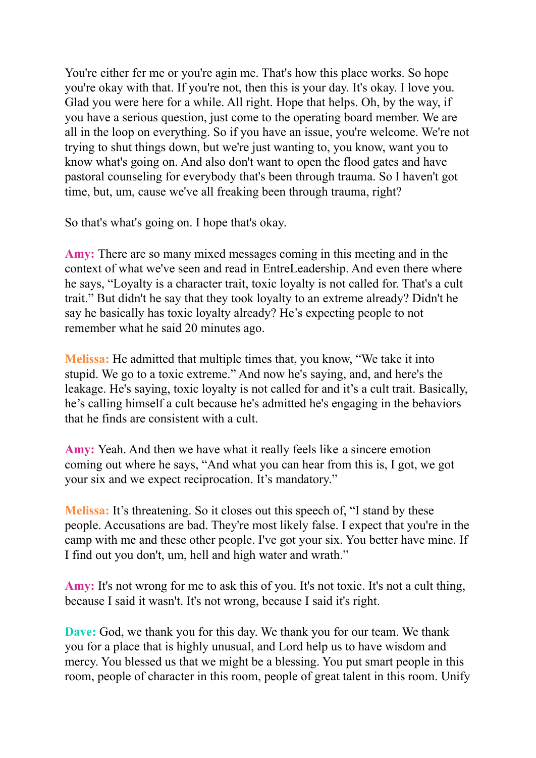You're either fer me or you're agin me. That's how this place works. So hope you're okay with that. If you're not, then this is your day. It's okay. I love you. Glad you were here for a while. All right. Hope that helps. Oh, by the way, if you have a serious question, just come to the operating board member. We are all in the loop on everything. So if you have an issue, you're welcome. We're not trying to shut things down, but we're just wanting to, you know, want you to know what's going on. And also don't want to open the flood gates and have pastoral counseling for everybody that's been through trauma. So I haven't got time, but, um, cause we've all freaking been through trauma, right?

So that's what's going on. I hope that's okay.

**Amy:** There are so many mixed messages coming in this meeting and in the context of what we've seen and read in EntreLeadership. And even there where he says, "Loyalty is a character trait, toxic loyalty is not called for. That's a cult trait." But didn't he say that they took loyalty to an extreme already? Didn't he say he basically has toxic loyalty already? He's expecting people to not remember what he said 20 minutes ago.

**Melissa:** He admitted that multiple times that, you know, "We take it into stupid. We go to a toxic extreme." And now he's saying, and, and here's the leakage. He's saying, toxic loyalty is not called for and it's a cult trait. Basically, he's calling himself a cult because he's admitted he's engaging in the behaviors that he finds are consistent with a cult.

**Amy:** Yeah. And then we have what it really feels like a sincere emotion coming out where he says, "And what you can hear from this is, I got, we got your six and we expect reciprocation. It's mandatory."

**Melissa:** It's threatening. So it closes out this speech of, "I stand by these people. Accusations are bad. They're most likely false. I expect that you're in the camp with me and these other people. I've got your six. You better have mine. If I find out you don't, um, hell and high water and wrath."

**Amy:** It's not wrong for me to ask this of you. It's not toxic. It's not a cult thing, because I said it wasn't. It's not wrong, because I said it's right.

**Dave:** God, we thank you for this day. We thank you for our team. We thank you for a place that is highly unusual, and Lord help us to have wisdom and mercy. You blessed us that we might be a blessing. You put smart people in this room, people of character in this room, people of great talent in this room. Unify